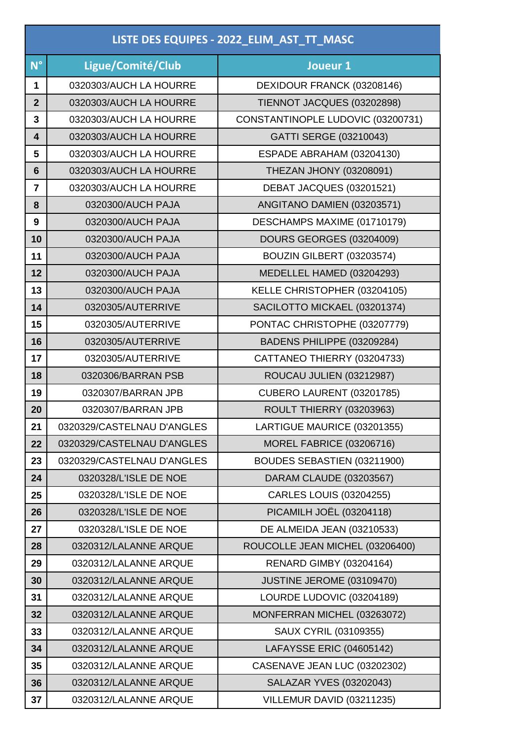| LISTE DES EQUIPES - 2022_ELIM_AST_TT_MASC |                            |                                   |  |
|-------------------------------------------|----------------------------|-----------------------------------|--|
| $N^{\circ}$                               | Ligue/Comité/Club          | Joueur 1                          |  |
| 1                                         | 0320303/AUCH LA HOURRE     | DEXIDOUR FRANCK (03208146)        |  |
| $\overline{2}$                            | 0320303/AUCH LA HOURRE     | TIENNOT JACQUES (03202898)        |  |
| 3                                         | 0320303/AUCH LA HOURRE     | CONSTANTINOPLE LUDOVIC (03200731) |  |
| $\overline{\mathbf{4}}$                   | 0320303/AUCH LA HOURRE     | GATTI SERGE (03210043)            |  |
| 5                                         | 0320303/AUCH LA HOURRE     | ESPADE ABRAHAM (03204130)         |  |
| 6                                         | 0320303/AUCH LA HOURRE     | THEZAN JHONY (03208091)           |  |
| $\overline{7}$                            | 0320303/AUCH LA HOURRE     | DEBAT JACQUES (03201521)          |  |
| 8                                         | 0320300/AUCH PAJA          | ANGITANO DAMIEN (03203571)        |  |
| 9                                         | 0320300/AUCH PAJA          | DESCHAMPS MAXIME (01710179)       |  |
| 10                                        | 0320300/AUCH PAJA          | <b>DOURS GEORGES (03204009)</b>   |  |
| 11                                        | 0320300/AUCH PAJA          | BOUZIN GILBERT (03203574)         |  |
| 12                                        | 0320300/AUCH PAJA          | MEDELLEL HAMED (03204293)         |  |
| 13                                        | 0320300/AUCH PAJA          | KELLE CHRISTOPHER (03204105)      |  |
| 14                                        | 0320305/AUTERRIVE          | SACILOTTO MICKAEL (03201374)      |  |
| 15                                        | 0320305/AUTERRIVE          | PONTAC CHRISTOPHE (03207779)      |  |
| 16                                        | 0320305/AUTERRIVE          | BADENS PHILIPPE (03209284)        |  |
| 17                                        | 0320305/AUTERRIVE          | CATTANEO THIERRY (03204733)       |  |
| 18                                        | 0320306/BARRAN PSB         | ROUCAU JULIEN (03212987)          |  |
| 19                                        | 0320307/BARRAN JPB         | CUBERO LAURENT (03201785)         |  |
| 20                                        | 0320307/BARRAN JPB         | <b>ROULT THIERRY (03203963)</b>   |  |
| 21                                        | 0320329/CASTELNAU D'ANGLES | LARTIGUE MAURICE (03201355)       |  |
| 22                                        | 0320329/CASTELNAU D'ANGLES | <b>MOREL FABRICE (03206716)</b>   |  |
| 23                                        | 0320329/CASTELNAU D'ANGLES | BOUDES SEBASTIEN (03211900)       |  |
| 24                                        | 0320328/L'ISLE DE NOE      | DARAM CLAUDE (03203567)           |  |
| 25                                        | 0320328/L'ISLE DE NOE      | <b>CARLES LOUIS (03204255)</b>    |  |
| 26                                        | 0320328/L'ISLE DE NOE      | <b>PICAMILH JOËL (03204118)</b>   |  |
| 27                                        | 0320328/L'ISLE DE NOE      | DE ALMEIDA JEAN (03210533)        |  |
| 28                                        | 0320312/LALANNE ARQUE      | ROUCOLLE JEAN MICHEL (03206400)   |  |
| 29                                        | 0320312/LALANNE ARQUE      | <b>RENARD GIMBY (03204164)</b>    |  |
| 30                                        | 0320312/LALANNE ARQUE      | JUSTINE JEROME (03109470)         |  |
| 31                                        | 0320312/LALANNE ARQUE      | LOURDE LUDOVIC (03204189)         |  |
| 32                                        | 0320312/LALANNE ARQUE      | MONFERRAN MICHEL (03263072)       |  |
| 33                                        | 0320312/LALANNE ARQUE      | SAUX CYRIL (03109355)             |  |
| 34                                        | 0320312/LALANNE ARQUE      | LAFAYSSE ERIC (04605142)          |  |
| 35                                        | 0320312/LALANNE ARQUE      | CASENAVE JEAN LUC (03202302)      |  |
| 36                                        | 0320312/LALANNE ARQUE      | <b>SALAZAR YVES (03202043)</b>    |  |
| 37                                        | 0320312/LALANNE ARQUE      | VILLEMUR DAVID (03211235)         |  |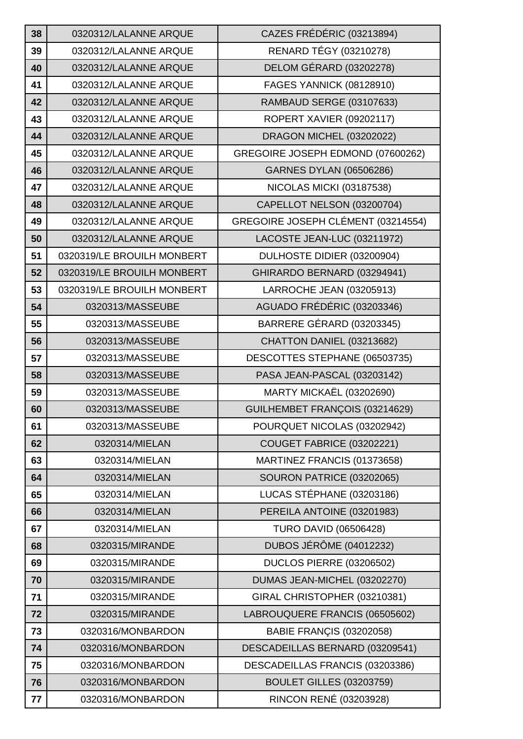| 38 | 0320312/LALANNE ARQUE      | CAZES FRÉDÉRIC (03213894)          |
|----|----------------------------|------------------------------------|
| 39 | 0320312/LALANNE ARQUE      | <b>RENARD TÉGY (03210278)</b>      |
| 40 | 0320312/LALANNE ARQUE      | DELOM GÉRARD (03202278)            |
| 41 | 0320312/LALANNE ARQUE      | FAGES YANNICK (08128910)           |
| 42 | 0320312/LALANNE ARQUE      | RAMBAUD SERGE (03107633)           |
| 43 | 0320312/LALANNE ARQUE      | <b>ROPERT XAVIER (09202117)</b>    |
| 44 | 0320312/LALANNE ARQUE      | DRAGON MICHEL (03202022)           |
| 45 | 0320312/LALANNE ARQUE      | GREGOIRE JOSEPH EDMOND (07600262)  |
| 46 | 0320312/LALANNE ARQUE      | <b>GARNES DYLAN (06506286)</b>     |
| 47 | 0320312/LALANNE ARQUE      | <b>NICOLAS MICKI (03187538)</b>    |
| 48 | 0320312/LALANNE ARQUE      | CAPELLOT NELSON (03200704)         |
| 49 | 0320312/LALANNE ARQUE      | GREGOIRE JOSEPH CLÉMENT (03214554) |
| 50 | 0320312/LALANNE ARQUE      | LACOSTE JEAN-LUC (03211972)        |
| 51 | 0320319/LE BROUILH MONBERT | DULHOSTE DIDIER (03200904)         |
| 52 | 0320319/LE BROUILH MONBERT | GHIRARDO BERNARD (03294941)        |
| 53 | 0320319/LE BROUILH MONBERT | LARROCHE JEAN (03205913)           |
| 54 | 0320313/MASSEUBE           | AGUADO FRÉDÉRIC (03203346)         |
| 55 | 0320313/MASSEUBE           | BARRERE GÉRARD (03203345)          |
| 56 | 0320313/MASSEUBE           | CHATTON DANIEL (03213682)          |
| 57 | 0320313/MASSEUBE           | DESCOTTES STEPHANE (06503735)      |
| 58 | 0320313/MASSEUBE           | PASA JEAN-PASCAL (03203142)        |
| 59 | 0320313/MASSEUBE           | <b>MARTY MICKAËL (03202690)</b>    |
| 60 | 0320313/MASSEUBE           | GUILHEMBET FRANÇOIS (03214629)     |
| 61 | 0320313/MASSEUBE           | POURQUET NICOLAS (03202942)        |
| 62 | 0320314/MIELAN             | <b>COUGET FABRICE (03202221)</b>   |
| 63 | 0320314/MIELAN             | MARTINEZ FRANCIS (01373658)        |
| 64 | 0320314/MIELAN             | <b>SOURON PATRICE (03202065)</b>   |
| 65 | 0320314/MIELAN             | LUCAS STÉPHANE (03203186)          |
| 66 | 0320314/MIELAN             | PEREILA ANTOINE (03201983)         |
| 67 | 0320314/MIELAN             | <b>TURO DAVID (06506428)</b>       |
| 68 | 0320315/MIRANDE            | <b>DUBOS JÉRÔME (04012232)</b>     |
| 69 | 0320315/MIRANDE            | DUCLOS PIERRE (03206502)           |
| 70 | 0320315/MIRANDE            | DUMAS JEAN-MICHEL (03202270)       |
| 71 | 0320315/MIRANDE            | GIRAL CHRISTOPHER (03210381)       |
| 72 | 0320315/MIRANDE            | LABROUQUERE FRANCIS (06505602)     |
| 73 | 0320316/MONBARDON          | <b>BABIE FRANÇIS (03202058)</b>    |
| 74 | 0320316/MONBARDON          | DESCADEILLAS BERNARD (03209541)    |
| 75 | 0320316/MONBARDON          | DESCADEILLAS FRANCIS (03203386)    |
| 76 | 0320316/MONBARDON          | <b>BOULET GILLES (03203759)</b>    |
| 77 | 0320316/MONBARDON          | RINCON RENÉ (03203928)             |